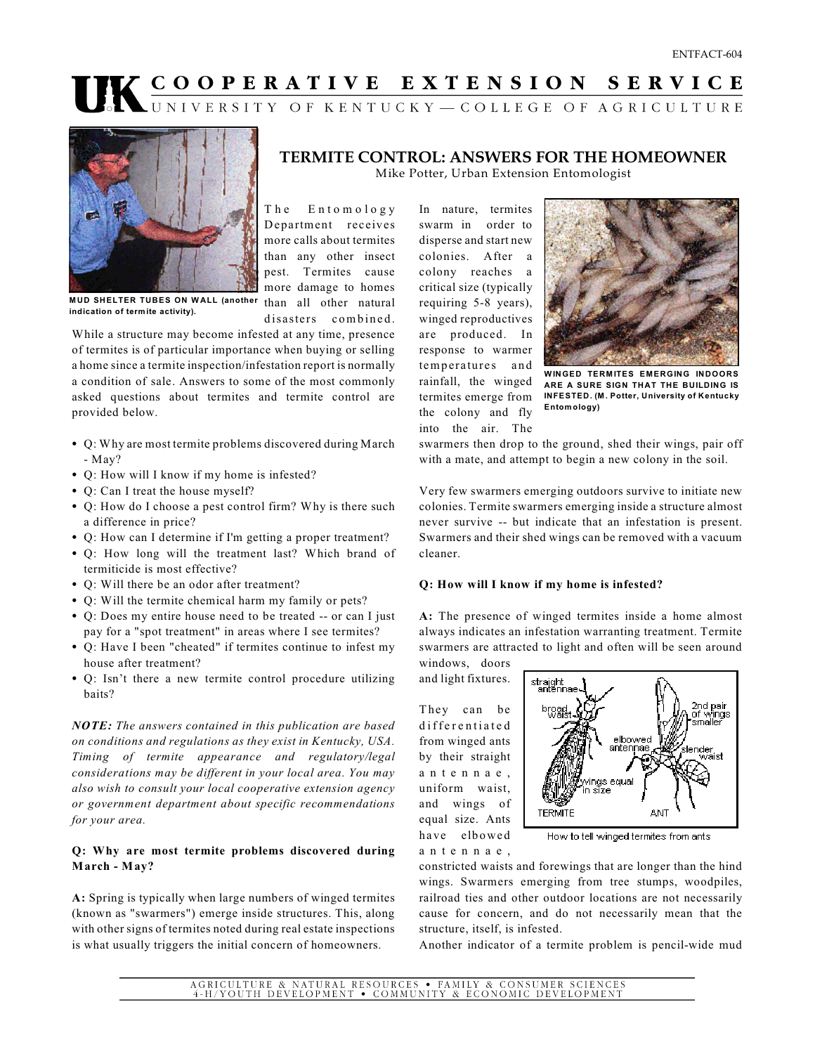# **COOPERATIVE EXTENSION SERVICE**



**TERMITE CONTROL: ANSWERS FOR THE HOMEOWNER** Mike Potter, Urban Extension Entomologist

The Entomology Department receives more calls about termites than any other insect pest. Termites cause more damage to homes disasters combined.

**M UD SHELTER TUBES ON W ALL (another** than all other natural **indication of term ite activity).**

While a structure may become infested at any time, presence of termites is of particular importance when buying or selling a home since a termite inspection/infestation report is normally a condition of sale. Answers to some of the most commonly asked questions about termites and termite control are provided below.

- Q: Why are most termite problems discovered during March - May?
- Q: How will I know if my home is infested?
- Q: Can I treat the house myself?
- Q: How do I choose a pest control firm? Why is there such a difference in price?
- Q: How can I determine if I'm getting a proper treatment?
- Q: How long will the treatment last? Which brand of termiticide is most effective?
- Q: Will there be an odor after treatment?
- Q: Will the termite chemical harm my family or pets?
- Q: Does my entire house need to be treated -- or can I just pay for a "spot treatment" in areas where I see termites?
- Q: Have I been "cheated" if termites continue to infest my house after treatment?
- Q: Isn't there a new termite control procedure utilizing baits?

*NOTE: The answers contained in this publication are based on conditions and regulations as they exist in Kentucky, USA. Timing of termite appearance and regulatory/legal considerations may be different in your local area. You may also wish to consult your local cooperative extension agency or government department about specific recommendations for your area.* 

## **Q: Why are most termite problems discovered during March - May?**

**A:** Spring is typically when large numbers of winged termites (known as "swarmers") emerge inside structures. This, along with other signs of termites noted during real estate inspections is what usually triggers the initial concern of homeowners.

In nature, termites swarm in order to disperse and start new colonies. After a colony reaches a critical size (typically requiring 5-8 years), winged reproductives are produced. In response to warmer temperatures and rainfall, the winged termites emerge from the colony and fly into the air. The



**WINGED TERMITES EMERGING INDOORS ARE A SURE SIGN THAT THE BUILDING IS INFESTED. (M . Potter, University of Kentucky Entom ology)**

swarmers then drop to the ground, shed their wings, pair off with a mate, and attempt to begin a new colony in the soil.

Very few swarmers emerging outdoors survive to initiate new colonies. Termite swarmers emerging inside a structure almost never survive -- but indicate that an infestation is present. Swarmers and their shed wings can be removed with a vacuum cleaner.

## **Q: How will I know if my home is infested?**

**A:** The presence of winged termites inside a home almost always indicates an infestation warranting treatment. Termite swarmers are attracted to light and often will be seen around

windows, doors and light fixtures.

They can be differentiated from winged ants by their straight ant enn ae, uniform waist, and wings of equal size. Ants have elbowed ant e n nae ,



How to tell winged termites from ants

constricted waists and forewings that are longer than the hind wings. Swarmers emerging from tree stumps, woodpiles, railroad ties and other outdoor locations are not necessarily cause for concern, and do not necessarily mean that the structure, itself, is infested.

Another indicator of a termite problem is pencil-wide mud

 ${\bf AGRICULTURE\ \&\ NATURE} \begin{minipage}{0.9\linewidth} \emph{RISOUNCES}\ \textcolor{red}{\bullet}\ \textcolor{red}{\bf FAMILY}\ \&\ \textcolor{red}{\bf CONSUMER}\ \textcolor{red}{\bf SCINCES}\ \textcolor{red}{\bf 4-H/YOUTH}\ \textcolor{red}{\bf DEVELOPMENT}\ \textcolor{red}{\bullet}\ \textcolor{red}{\bf COMMUNITY}\ \&\ \textcolor{red}{\bf ECONOMIC}\ \textcolor{red}{\bf DEVELOPMENT}\ \textcolor{red}{\bullet}\ \end{minipage}$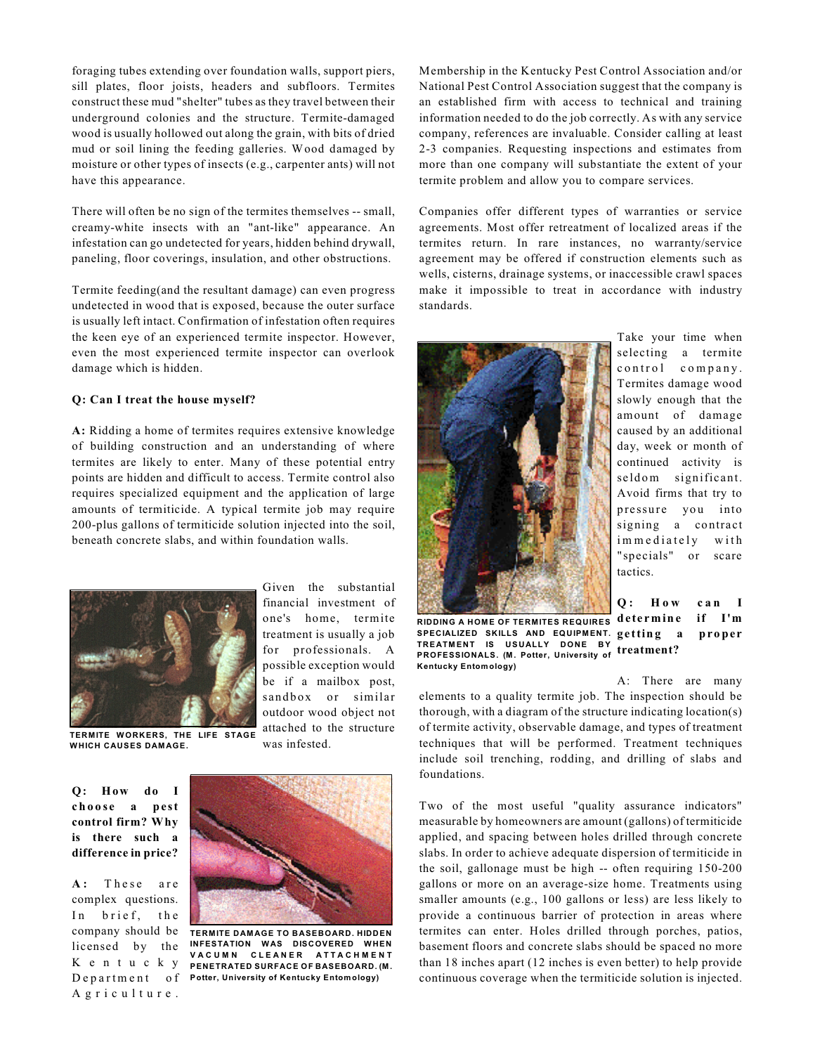foraging tubes extending over foundation walls, support piers, sill plates, floor joists, headers and subfloors. Termites construct these mud "shelter" tubes as they travel between their underground colonies and the structure. Termite-damaged wood is usually hollowed out along the grain, with bits of dried mud or soil lining the feeding galleries. Wood damaged by moisture or other types of insects (e.g., carpenter ants) will not have this appearance.

There will often be no sign of the termites themselves -- small, creamy-white insects with an "ant-like" appearance. An infestation can go undetected for years, hidden behind drywall, paneling, floor coverings, insulation, and other obstructions.

Termite feeding(and the resultant damage) can even progress undetected in wood that is exposed, because the outer surface is usually left intact. Confirmation of infestation often requires the keen eye of an experienced termite inspector. However, even the most experienced termite inspector can overlook damage which is hidden.

#### **Q: Can I treat the house myself?**

**A:** Ridding a home of termites requires extensive knowledge of building construction and an understanding of where termites are likely to enter. Many of these potential entry points are hidden and difficult to access. Termite control also requires specialized equipment and the application of large amounts of termiticide. A typical termite job may require 200-plus gallons of termiticide solution injected into the soil, beneath concrete slabs, and within foundation walls.



Given the substantial financial investment of one's home, termite treatment is usually a job for professionals. A possible exception would be if a mailbox post, sandbox or similar outdoor wood object not attached to the structure was infested.

**TERMITE WORKERS, THE LIFE STAGE WHICH CAUSES DAM AGE.** 

**Q: How do I c h o o se a pest control firm? Why is there such a difference in price?**

A: These are complex questions. In brief, the licensed by the K ent ucky A griculture.



**TERMITE DAM AGE TO BASEBOARD. HIDDEN** company should be **INFESTATION WAS DISCOVERED WHEN V A CUM N C L E A N E R A T T A CHM ENT PENETRATED SURFACE OF BASEBOARD. (M .**  $\mathbf{D}\,\mathbf{e}\,\mathbf{p}\,\mathbf{a}\,\mathbf{r}\,\mathbf{t}$  m e  $\mathbf{n}\,\mathbf{t}$  of Potter, University of Kentucky Entomology)

Membership in the Kentucky Pest Control Association and/or National Pest Control Association suggest that the company is an established firm with access to technical and training information needed to do the job correctly. As with any service company, references are invaluable. Consider calling at least 2-3 companies. Requesting inspections and estimates from more than one company will substantiate the extent of your termite problem and allow you to compare services.

Companies offer different types of warranties or service agreements. Most offer retreatment of localized areas if the termites return. In rare instances, no warranty/service agreement may be offered if construction elements such as wells, cisterns, drainage systems, or inaccessible crawl spaces make it impossible to treat in accordance with industry standards.



Take your time when selecting a termite control company. Termites damage wood slowly enough that the amount of damage caused by an additional day, week or month of continued activity is seld om significant. Avoid firms that try to pressure you into signing a contract immediately with "specials" or scare tactics.

**RIDDING A HOM E OF TERMITES REQUIRES SPECIALIZED SKILLS AND EQUIPMENT.**<br>TREATMENT IS USUALLY DONE BY **TREATM ENT IS USUALLY DONE BY PROFESSIONALS. (M . Potter, University of treatment? Kentucky Entom ology) Q : H o w can I de te rm in e if I'm**

**getting a pro per**

A: There are many elements to a quality termite job. The inspection should be thorough, with a diagram of the structure indicating location(s) of termite activity, observable damage, and types of treatment techniques that will be performed. Treatment techniques include soil trenching, rodding, and drilling of slabs and foundations.

Two of the most useful "quality assurance indicators" measurable by homeowners are amount (gallons) of termiticide applied, and spacing between holes drilled through concrete slabs. In order to achieve adequate dispersion of termiticide in the soil, gallonage must be high -- often requiring 150-200 gallons or more on an average-size home. Treatments using smaller amounts (e.g., 100 gallons or less) are less likely to provide a continuous barrier of protection in areas where termites can enter. Holes drilled through porches, patios, basement floors and concrete slabs should be spaced no more than 18 inches apart (12 inches is even better) to help provide continuous coverage when the termiticide solution is injected.